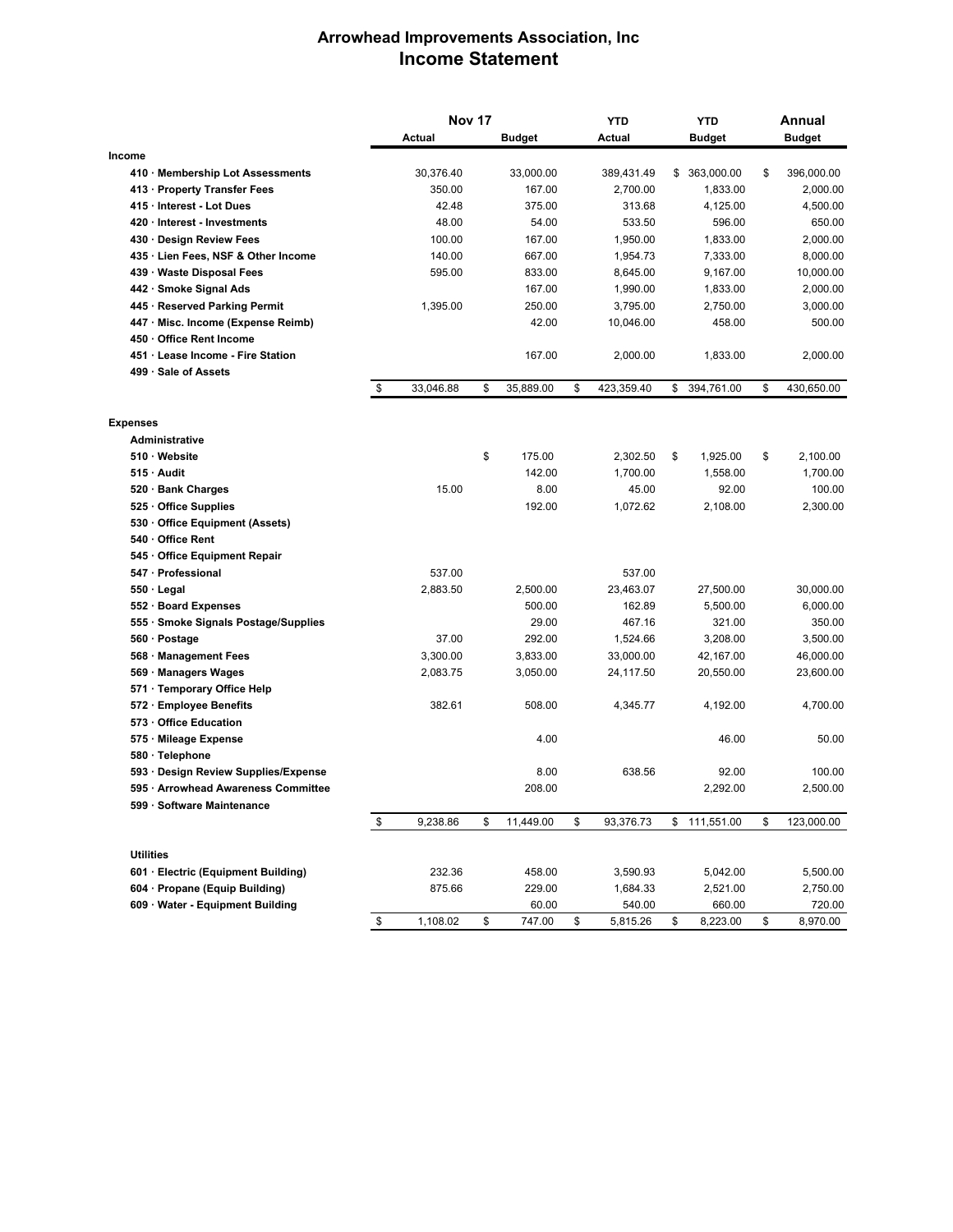## **Arrowhead Improvements Association, Inc Income Statement**

|                                      | <b>Nov 17</b> |           |    | <b>YTD</b>    | <b>YTD</b>       |    | Annual        |    |               |
|--------------------------------------|---------------|-----------|----|---------------|------------------|----|---------------|----|---------------|
|                                      |               | Actual    |    | <b>Budget</b> | Actual           |    | <b>Budget</b> |    | <b>Budget</b> |
| Income                               |               |           |    |               |                  |    |               |    |               |
| 410 Membership Lot Assessments       |               | 30,376.40 |    | 33,000.00     | 389,431.49       | \$ | 363,000.00    | \$ | 396,000.00    |
| 413 · Property Transfer Fees         |               | 350.00    |    | 167.00        | 2,700.00         |    | 1,833.00      |    | 2,000.00      |
| 415 · Interest - Lot Dues            |               | 42.48     |    | 375.00        | 313.68           |    | 4,125.00      |    | 4,500.00      |
| 420 Interest - Investments           |               | 48.00     |    | 54.00         | 533.50           |    | 596.00        |    | 650.00        |
| 430 Design Review Fees               |               | 100.00    |    | 167.00        | 1,950.00         |    | 1,833.00      |    | 2,000.00      |
| 435 · Lien Fees, NSF & Other Income  |               | 140.00    |    | 667.00        | 1,954.73         |    | 7,333.00      |    | 8,000.00      |
| 439 Waste Disposal Fees              |               | 595.00    |    | 833.00        | 8,645.00         |    | 9,167.00      |    | 10,000.00     |
| 442 · Smoke Signal Ads               |               |           |    | 167.00        | 1,990.00         |    | 1,833.00      |    | 2,000.00      |
| 445 · Reserved Parking Permit        |               | 1,395.00  |    | 250.00        | 3,795.00         |    | 2,750.00      |    | 3,000.00      |
| 447 Misc. Income (Expense Reimb)     |               |           |    | 42.00         | 10,046.00        |    | 458.00        |    | 500.00        |
| 450 Office Rent Income               |               |           |    |               |                  |    |               |    |               |
| 451 Lease Income - Fire Station      |               |           |    | 167.00        | 2,000.00         |    | 1,833.00      |    | 2,000.00      |
| 499 Sale of Assets                   |               |           |    |               |                  |    |               |    |               |
|                                      | \$            | 33,046.88 | \$ | 35,889.00     | \$<br>423,359.40 | \$ | 394,761.00    | \$ | 430,650.00    |
| <b>Expenses</b>                      |               |           |    |               |                  |    |               |    |               |
| <b>Administrative</b>                |               |           |    |               |                  |    |               |    |               |
| 510 Website                          |               |           | \$ | 175.00        | 2,302.50         | \$ | 1,925.00      | \$ | 2,100.00      |
| 515 Audit                            |               |           |    | 142.00        | 1,700.00         |    | 1,558.00      |    | 1,700.00      |
| 520 · Bank Charges                   |               | 15.00     |    | 8.00          | 45.00            |    | 92.00         |    | 100.00        |
| 525 Office Supplies                  |               |           |    | 192.00        | 1,072.62         |    | 2,108.00      |    | 2,300.00      |
| 530 Office Equipment (Assets)        |               |           |    |               |                  |    |               |    |               |
| 540 Office Rent                      |               |           |    |               |                  |    |               |    |               |
| 545 Office Equipment Repair          |               |           |    |               |                  |    |               |    |               |
| 547 · Professional                   |               | 537.00    |    |               | 537.00           |    |               |    |               |
| 550 Legal                            |               | 2,883.50  |    | 2,500.00      | 23,463.07        |    | 27,500.00     |    | 30,000.00     |
| 552 · Board Expenses                 |               |           |    | 500.00        | 162.89           |    | 5,500.00      |    | 6,000.00      |
| 555 · Smoke Signals Postage/Supplies |               |           |    | 29.00         | 467.16           |    | 321.00        |    | 350.00        |
| 560 · Postage                        |               | 37.00     |    | 292.00        | 1,524.66         |    | 3,208.00      |    | 3,500.00      |
| 568 Management Fees                  |               | 3,300.00  |    | 3,833.00      | 33,000.00        |    | 42,167.00     |    | 46,000.00     |
| 569 · Managers Wages                 |               | 2,083.75  |    | 3,050.00      | 24,117.50        |    | 20,550.00     |    | 23,600.00     |
| 571 · Temporary Office Help          |               |           |    |               |                  |    |               |    |               |
| 572 · Employee Benefits              |               | 382.61    |    | 508.00        | 4,345.77         |    | 4,192.00      |    | 4,700.00      |
| 573 Office Education                 |               |           |    |               |                  |    |               |    |               |
| 575 · Mileage Expense                |               |           |    | 4.00          |                  |    | 46.00         |    | 50.00         |
| 580 · Telephone                      |               |           |    |               |                  |    |               |    |               |
| 593 Design Review Supplies/Expense   |               |           |    | 8.00          | 638.56           |    | 92.00         |    | 100.00        |
| 595 · Arrowhead Awareness Committee  |               |           |    | 208.00        |                  |    | 2,292.00      |    | 2,500.00      |
| 599 · Software Maintenance           |               |           |    |               | \$               |    |               |    |               |
|                                      | \$            | 9,238.86  | \$ | 11,449.00     | 93,376.73        | \$ | 111,551.00    | \$ | 123,000.00    |
| <b>Utilities</b>                     |               |           |    |               |                  |    |               |    |               |
| 601 · Electric (Equipment Building)  |               | 232.36    |    | 458.00        | 3,590.93         |    | 5,042.00      |    | 5,500.00      |
| 604 · Propane (Equip Building)       |               | 875.66    |    | 229.00        | 1,684.33         |    | 2,521.00      |    | 2,750.00      |
| 609 Water - Equipment Building       |               |           |    | 60.00         | 540.00           |    | 660.00        |    | 720.00        |
|                                      | \$            | 1,108.02  | \$ | 747.00        | \$<br>5,815.26   | \$ | 8,223.00      | \$ | 8,970.00      |